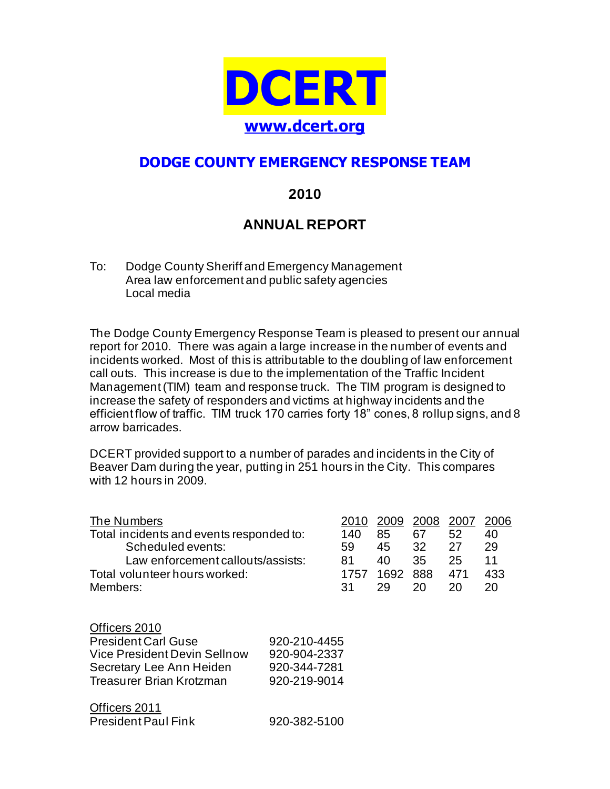

# **DODGE COUNTY EMERGENCY RESPONSE TEAM**

## **2010**

# **ANNUAL REPORT**

To: Dodge County Sheriff and Emergency Management Area law enforcement and public safety agencies Local media

The Dodge County Emergency Response Team is pleased to present our annual report for 2010. There was again a large increase in the number of events and incidents worked. Most of this is attributable to the doubling of law enforcement call outs. This increase is due to the implementation of the Traffic Incident Management (TIM) team and response truck. The TIM program is designed to increase the safety of responders and victims at highway incidents and the efficient flow of traffic. TIM truck 170 carries forty 18" cones, 8 rollup signs, and 8 arrow barricades.

DCERT provided support to a number of parades and incidents in the City of Beaver Dam during the year, putting in 251 hours in the City. This compares with 12 hours in 2009.

| The Numbers<br>Total incidents and events responded to:<br>Scheduled events:<br>Law enforcement callouts/assists:<br>Total volunteer hours worked: |                                                              | 2010<br>140<br>59<br>81<br>1757 | 2009<br>85<br>45<br>40<br>1692 | 2008<br>67<br>32<br>35<br>888 | 2007<br>52<br>27<br>25<br>471 | 2006<br>40<br>29<br>11<br>433 |
|----------------------------------------------------------------------------------------------------------------------------------------------------|--------------------------------------------------------------|---------------------------------|--------------------------------|-------------------------------|-------------------------------|-------------------------------|
| Members:                                                                                                                                           |                                                              | 31                              | 29                             | 20                            | 20                            | 20                            |
| Officers 2010<br><b>President Carl Guse</b><br>Vice President Devin Sellnow<br>Secretary Lee Ann Heiden<br>Treasurer Brian Krotzman                | 920-210-4455<br>920-904-2337<br>920-344-7281<br>920-219-9014 |                                 |                                |                               |                               |                               |
| Officers 2011                                                                                                                                      |                                                              |                                 |                                |                               |                               |                               |

| <b>President Paul Fink</b> | 920-382-5100 |
|----------------------------|--------------|